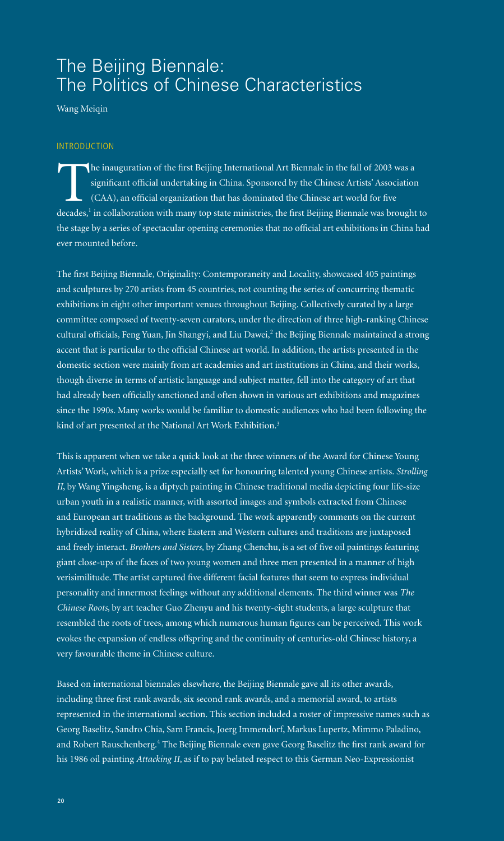# The Beijing Biennale: The Politics of Chinese Characteristics

Wang Meiqin

#### INTRODUCTION

The inauguration of the first Beijing International Art Biennale in the fall of 2003 was a significant official undertaking in China. Sponsored by the Chinese Artists' Association (CAA), an official organization that has dominated the Chinese art world for five decades,<sup>1</sup> in collaboration with many top state ministries, the first Beijing Biennale was brought to the stage by a series of spectacular opening ceremonies that no official art exhibitions in China had ever mounted before.

The first Beijing Biennale, Originality: Contemporaneity and Locality, showcased 405 paintings and sculptures by 270 artists from 45 countries, not counting the series of concurring thematic exhibitions in eight other important venues throughout Beijing. Collectively curated by a large committee composed of twenty-seven curators, under the direction of three high-ranking Chinese cultural officials, Feng Yuan, Jin Shangyi, and Liu Dawei, $^2$  the Beijing Biennale maintained a strong accent that is particular to the official Chinese art world. In addition, the artists presented in the domestic section were mainly from art academies and art institutions in China, and their works, though diverse in terms of artistic language and subject matter, fell into the category of art that had already been officially sanctioned and often shown in various art exhibitions and magazines since the 1990s. Many works would be familiar to domestic audiences who had been following the kind of art presented at the National Art Work Exhibition.<sup>3</sup>

This is apparent when we take a quick look at the three winners of the Award for Chinese Young Artists' Work, which is a prize especially set for honouring talented young Chinese artists. *Strolling II*, by Wang Yingsheng, is a diptych painting in Chinese traditional media depicting four life-size urban youth in a realistic manner, with assorted images and symbols extracted from Chinese and European art traditions as the background. The work apparently comments on the current hybridized reality of China, where Eastern and Western cultures and traditions are juxtaposed and freely interact. *Brothers and Sisters*, by Zhang Chenchu, is a set of five oil paintings featuring giant close-ups of the faces of two young women and three men presented in a manner of high verisimilitude. The artist captured five different facial features that seem to express individual personality and innermost feelings without any additional elements. The third winner was *The Chinese Roots*, by art teacher Guo Zhenyu and his twenty-eight students, a large sculpture that resembled the roots of trees, among which numerous human figures can be perceived. This work evokes the expansion of endless offspring and the continuity of centuries-old Chinese history, a very favourable theme in Chinese culture.

Based on international biennales elsewhere, the Beijing Biennale gave all its other awards, including three first rank awards, six second rank awards, and a memorial award, to artists represented in the international section. This section included a roster of impressive names such as Georg Baselitz, Sandro Chia, Sam Francis, Joerg Immendorf, Markus Lupertz, Mimmo Paladino, and Robert Rauschenberg.<sup>4</sup> The Beijing Biennale even gave Georg Baselitz the first rank award for his 1986 oil painting *Attacking II*, as if to pay belated respect to this German Neo-Expressionist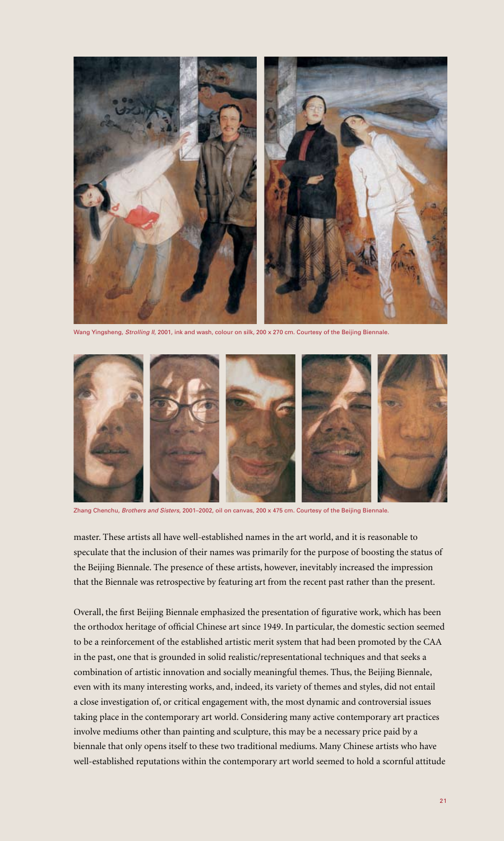

Wang Yingsheng, *Strolling II*, 2001, ink and wash, colour on silk, 200 x 270 cm. Courtesy of the Beijing Biennale.



Zhang Chenchu, *Brothers and Sisters*, 2001–2002, oil on canvas, 200 x 475 cm. Courtesy of the Beijing Biennale.

master. These artists all have well-established names in the art world, and it is reasonable to speculate that the inclusion of their names was primarily for the purpose of boosting the status of the Beijing Biennale. The presence of these artists, however, inevitably increased the impression that the Biennale was retrospective by featuring art from the recent past rather than the present.

Overall, the first Beijing Biennale emphasized the presentation of figurative work, which has been the orthodox heritage of official Chinese art since 1949. In particular, the domestic section seemed to be a reinforcement of the established artistic merit system that had been promoted by the CAA in the past, one that is grounded in solid realistic/representational techniques and that seeks a combination of artistic innovation and socially meaningful themes. Thus, the Beijing Biennale, even with its many interesting works, and, indeed, its variety of themes and styles, did not entail a close investigation of, or critical engagement with, the most dynamic and controversial issues taking place in the contemporary art world. Considering many active contemporary art practices involve mediums other than painting and sculpture, this may be a necessary price paid by a biennale that only opens itself to these two traditional mediums. Many Chinese artists who have well-established reputations within the contemporary art world seemed to hold a scornful attitude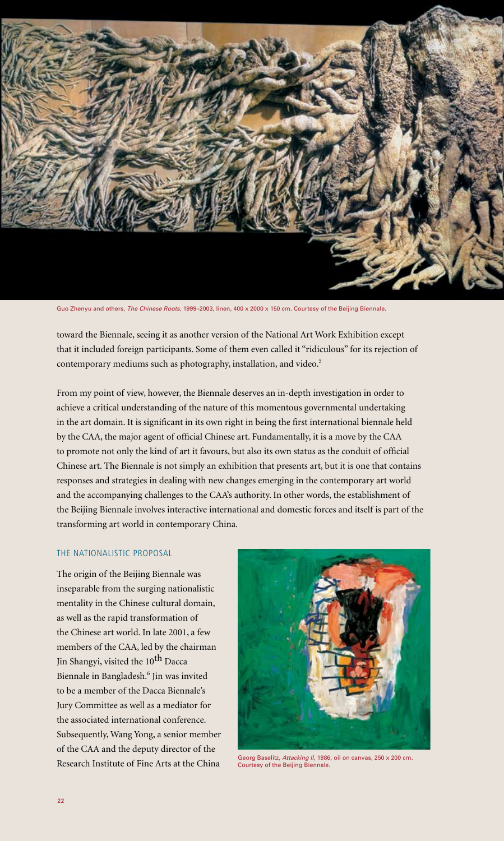

Guo Zhenyu and others, *The Chinese Roots*, 1999–2003, linen, 400 x 2000 x 150 cm. Courtesy of the Beijing Biennale.

toward the Biennale, seeing it as another version of the National Art Work Exhibition except that it included foreign participants. Some of them even called it "ridiculous" for its rejection of contemporary mediums such as photography, installation, and video.<sup>5</sup>

From my point of view, however, the Biennale deserves an in-depth investigation in order to achieve a critical understanding of the nature of this momentous governmental undertaking in the art domain. It is significant in its own right in being the first international biennale held by the CAA, the major agent of official Chinese art. Fundamentally, it is a move by the CAA to promote not only the kind of art it favours, but also its own status as the conduit of official Chinese art. The Biennale is not simply an exhibition that presents art, but it is one that contains responses and strategies in dealing with new changes emerging in the contemporary art world and the accompanying challenges to the CAA's authority. In other words, the establishment of the Beijing Biennale involves interactive international and domestic forces and itself is part of the transforming art world in contemporary China.

#### The Nationalistic Proposal

The origin of the Beijing Biennale was inseparable from the surging nationalistic mentality in the Chinese cultural domain, as well as the rapid transformation of the Chinese art world. In late 2001, a few members of the CAA, led by the chairman Jin Shangyi, visited the 10<sup>th</sup> Dacca Biennale in Bangladesh.<sup>6</sup> Jin was invited to be a member of the Dacca Biennale's Jury Committee as well as a mediator for the associated international conference. Subsequently, Wang Yong, a senior member of the CAA and the deputy director of the Research Institute of Fine Arts at the China



Georg Baselitz, *Attacking II*, 1986, oil on canvas, 250 x 200 cm. Courtesy of the Beijing Biennale.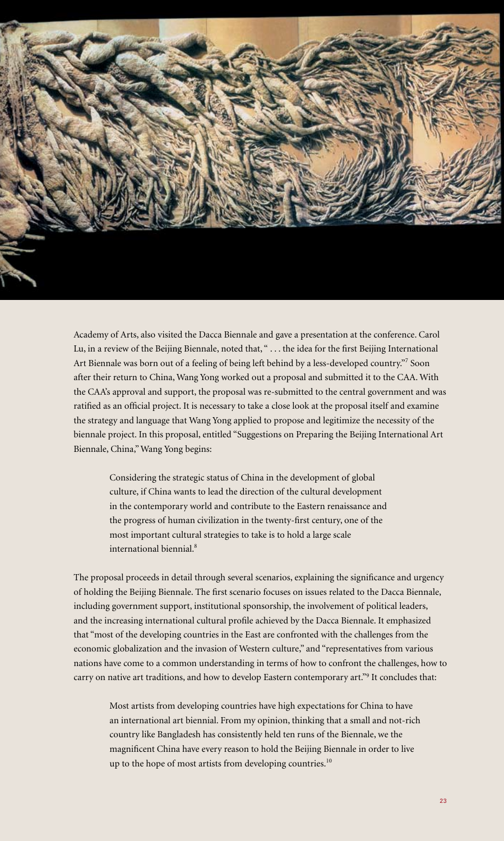

Academy of Arts, also visited the Dacca Biennale and gave a presentation at the conference. Carol Lu, in a review of the Beijing Biennale, noted that, " . . . the idea for the first Beijing International Art Biennale was born out of a feeling of being left behind by a less-developed country."<sup>7</sup> Soon after their return to China, Wang Yong worked out a proposal and submitted it to the CAA. With the CAA's approval and support, the proposal was re-submitted to the central government and was ratified as an official project. It is necessary to take a close look at the proposal itself and examine the strategy and language that Wang Yong applied to propose and legitimize the necessity of the biennale project. In this proposal, entitled "Suggestions on Preparing the Beijing International Art Biennale, China," Wang Yong begins:

Considering the strategic status of China in the development of global culture, if China wants to lead the direction of the cultural development in the contemporary world and contribute to the Eastern renaissance and the progress of human civilization in the twenty-first century, one of the most important cultural strategies to take is to hold a large scale international biennial.<sup>8</sup>

The proposal proceeds in detail through several scenarios, explaining the significance and urgency of holding the Beijing Biennale. The first scenario focuses on issues related to the Dacca Biennale, including government support, institutional sponsorship, the involvement of political leaders, and the increasing international cultural profile achieved by the Dacca Biennale. It emphasized that "most of the developing countries in the East are confronted with the challenges from the economic globalization and the invasion of Western culture," and "representatives from various nations have come to a common understanding in terms of how to confront the challenges, how to carry on native art traditions, and how to develop Eastern contemporary art."9 It concludes that:

Most artists from developing countries have high expectations for China to have an international art biennial. From my opinion, thinking that a small and not-rich country like Bangladesh has consistently held ten runs of the Biennale, we the magnificent China have every reason to hold the Beijing Biennale in order to live up to the hope of most artists from developing countries.<sup>10</sup>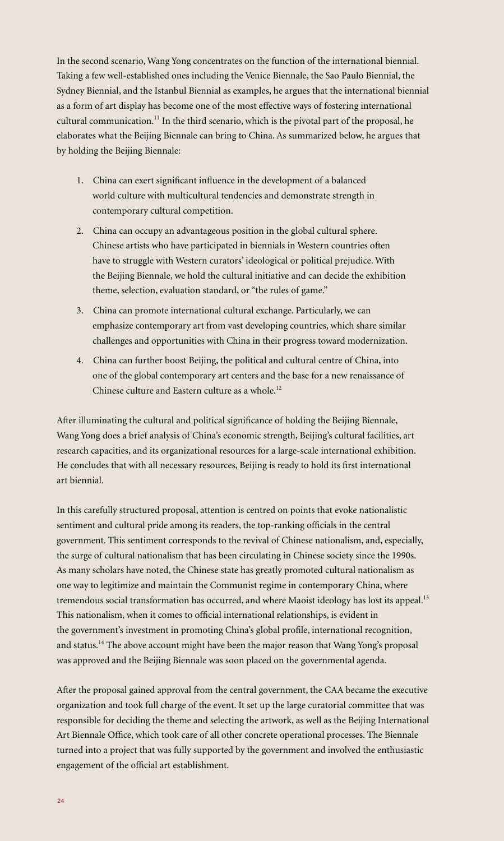In the second scenario, Wang Yong concentrates on the function of the international biennial. Taking a few well-established ones including the Venice Biennale, the Sao Paulo Biennial, the Sydney Biennial, and the Istanbul Biennial as examples, he argues that the international biennial as a form of art display has become one of the most effective ways of fostering international cultural communication.<sup>11</sup> In the third scenario, which is the pivotal part of the proposal, he elaborates what the Beijing Biennale can bring to China. As summarized below, he argues that by holding the Beijing Biennale:

- 1. China can exert significant influence in the development of a balanced world culture with multicultural tendencies and demonstrate strength in contemporary cultural competition.
- 2. China can occupy an advantageous position in the global cultural sphere. Chinese artists who have participated in biennials in Western countries often have to struggle with Western curators' ideological or political prejudice. With the Beijing Biennale, we hold the cultural initiative and can decide the exhibition theme, selection, evaluation standard, or "the rules of game."
- 3. China can promote international cultural exchange. Particularly, we can emphasize contemporary art from vast developing countries, which share similar challenges and opportunities with China in their progress toward modernization.
- 4. China can further boost Beijing, the political and cultural centre of China, into one of the global contemporary art centers and the base for a new renaissance of Chinese culture and Eastern culture as a whole.<sup>12</sup>

After illuminating the cultural and political significance of holding the Beijing Biennale, Wang Yong does a brief analysis of China's economic strength, Beijing's cultural facilities, art research capacities, and its organizational resources for a large-scale international exhibition. He concludes that with all necessary resources, Beijing is ready to hold its first international art biennial.

In this carefully structured proposal, attention is centred on points that evoke nationalistic sentiment and cultural pride among its readers, the top-ranking officials in the central government. This sentiment corresponds to the revival of Chinese nationalism, and, especially, the surge of cultural nationalism that has been circulating in Chinese society since the 1990s. As many scholars have noted, the Chinese state has greatly promoted cultural nationalism as one way to legitimize and maintain the Communist regime in contemporary China, where tremendous social transformation has occurred, and where Maoist ideology has lost its appeal.<sup>13</sup> This nationalism, when it comes to official international relationships, is evident in the government's investment in promoting China's global profile, international recognition, and status.<sup>14</sup> The above account might have been the major reason that Wang Yong's proposal was approved and the Beijing Biennale was soon placed on the governmental agenda.

After the proposal gained approval from the central government, the CAA became the executive organization and took full charge of the event. It set up the large curatorial committee that was responsible for deciding the theme and selecting the artwork, as well as the Beijing International Art Biennale Office, which took care of all other concrete operational processes. The Biennale turned into a project that was fully supported by the government and involved the enthusiastic engagement of the official art establishment.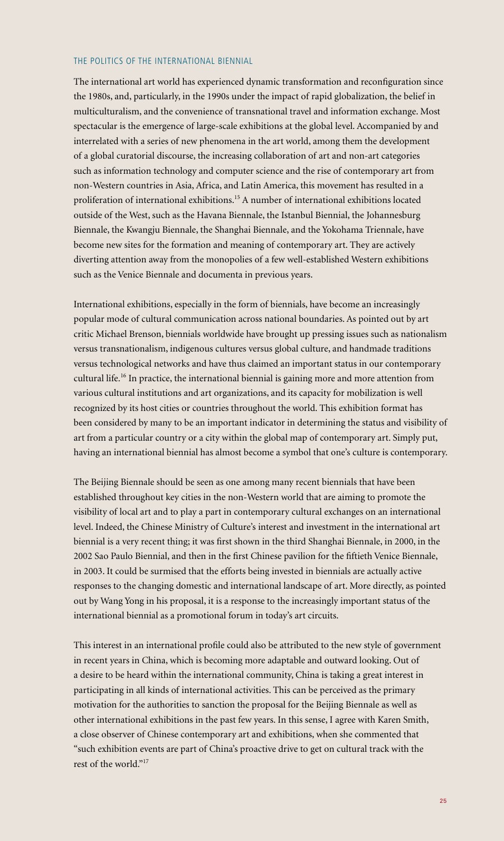## The Politics of the International Biennial

The international art world has experienced dynamic transformation and reconfiguration since the 1980s, and, particularly, in the 1990s under the impact of rapid globalization, the belief in multiculturalism, and the convenience of transnational travel and information exchange. Most spectacular is the emergence of large-scale exhibitions at the global level. Accompanied by and interrelated with a series of new phenomena in the art world, among them the development of a global curatorial discourse, the increasing collaboration of art and non-art categories such as information technology and computer science and the rise of contemporary art from non-Western countries in Asia, Africa, and Latin America, this movement has resulted in a proliferation of international exhibitions.15 A number of international exhibitions located outside of the West, such as the Havana Biennale, the Istanbul Biennial, the Johannesburg Biennale, the Kwangju Biennale, the Shanghai Biennale, and the Yokohama Triennale, have become new sites for the formation and meaning of contemporary art. They are actively diverting attention away from the monopolies of a few well-established Western exhibitions such as the Venice Biennale and documenta in previous years.

International exhibitions, especially in the form of biennials, have become an increasingly popular mode of cultural communication across national boundaries. As pointed out by art critic Michael Brenson, biennials worldwide have brought up pressing issues such as nationalism versus transnationalism, indigenous cultures versus global culture, and handmade traditions versus technological networks and have thus claimed an important status in our contemporary cultural life.16 In practice, the international biennial is gaining more and more attention from various cultural institutions and art organizations, and its capacity for mobilization is well recognized by its host cities or countries throughout the world. This exhibition format has been considered by many to be an important indicator in determining the status and visibility of art from a particular country or a city within the global map of contemporary art. Simply put, having an international biennial has almost become a symbol that one's culture is contemporary.

The Beijing Biennale should be seen as one among many recent biennials that have been established throughout key cities in the non-Western world that are aiming to promote the visibility of local art and to play a part in contemporary cultural exchanges on an international level. Indeed, the Chinese Ministry of Culture's interest and investment in the international art biennial is a very recent thing; it was first shown in the third Shanghai Biennale, in 2000, in the 2002 Sao Paulo Biennial, and then in the first Chinese pavilion for the fiftieth Venice Biennale, in 2003. It could be surmised that the efforts being invested in biennials are actually active responses to the changing domestic and international landscape of art. More directly, as pointed out by Wang Yong in his proposal, it is a response to the increasingly important status of the international biennial as a promotional forum in today's art circuits.

This interest in an international profile could also be attributed to the new style of government in recent years in China, which is becoming more adaptable and outward looking. Out of a desire to be heard within the international community, China is taking a great interest in participating in all kinds of international activities. This can be perceived as the primary motivation for the authorities to sanction the proposal for the Beijing Biennale as well as other international exhibitions in the past few years. In this sense, I agree with Karen Smith, a close observer of Chinese contemporary art and exhibitions, when she commented that "such exhibition events are part of China's proactive drive to get on cultural track with the rest of the world."<sup>17</sup>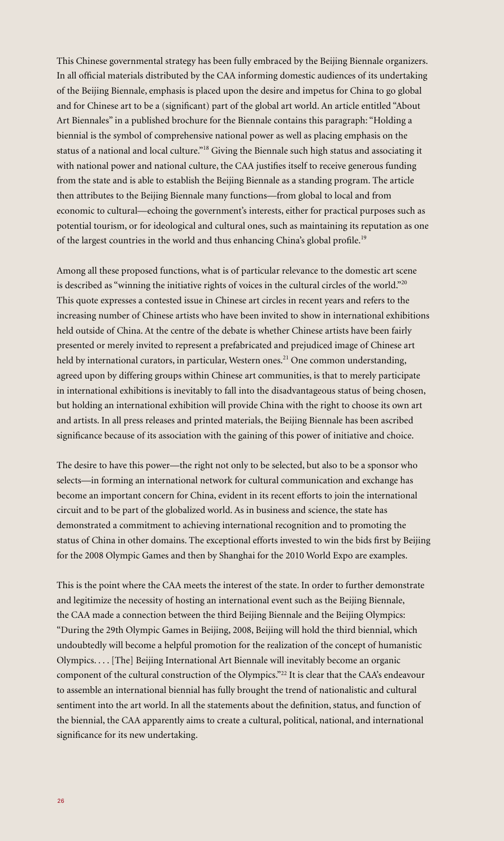This Chinese governmental strategy has been fully embraced by the Beijing Biennale organizers. In all official materials distributed by the CAA informing domestic audiences of its undertaking of the Beijing Biennale, emphasis is placed upon the desire and impetus for China to go global and for Chinese art to be a (significant) part of the global art world. An article entitled "About Art Biennales" in a published brochure for the Biennale contains this paragraph: "Holding a biennial is the symbol of comprehensive national power as well as placing emphasis on the status of a national and local culture."<sup>18</sup> Giving the Biennale such high status and associating it with national power and national culture, the CAA justifies itself to receive generous funding from the state and is able to establish the Beijing Biennale as a standing program. The article then attributes to the Beijing Biennale many functions—from global to local and from economic to cultural—echoing the government's interests, either for practical purposes such as potential tourism, or for ideological and cultural ones, such as maintaining its reputation as one of the largest countries in the world and thus enhancing China's global profile.<sup>19</sup>

Among all these proposed functions, what is of particular relevance to the domestic art scene is described as "winning the initiative rights of voices in the cultural circles of the world."<sup>20</sup> This quote expresses a contested issue in Chinese art circles in recent years and refers to the increasing number of Chinese artists who have been invited to show in international exhibitions held outside of China. At the centre of the debate is whether Chinese artists have been fairly presented or merely invited to represent a prefabricated and prejudiced image of Chinese art held by international curators, in particular, Western ones.<sup>21</sup> One common understanding, agreed upon by differing groups within Chinese art communities, is that to merely participate in international exhibitions is inevitably to fall into the disadvantageous status of being chosen, but holding an international exhibition will provide China with the right to choose its own art and artists. In all press releases and printed materials, the Beijing Biennale has been ascribed significance because of its association with the gaining of this power of initiative and choice.

The desire to have this power—the right not only to be selected, but also to be a sponsor who selects—in forming an international network for cultural communication and exchange has become an important concern for China, evident in its recent efforts to join the international circuit and to be part of the globalized world. As in business and science, the state has demonstrated a commitment to achieving international recognition and to promoting the status of China in other domains. The exceptional efforts invested to win the bids first by Beijing for the 2008 Olympic Games and then by Shanghai for the 2010 World Expo are examples.

This is the point where the CAA meets the interest of the state. In order to further demonstrate and legitimize the necessity of hosting an international event such as the Beijing Biennale, the CAA made a connection between the third Beijing Biennale and the Beijing Olympics: "During the 29th Olympic Games in Beijing, 2008, Beijing will hold the third biennial, which undoubtedly will become a helpful promotion for the realization of the concept of humanistic Olympics. . . . [The] Beijing International Art Biennale will inevitably become an organic component of the cultural construction of the Olympics."22 It is clear that the CAA's endeavour to assemble an international biennial has fully brought the trend of nationalistic and cultural sentiment into the art world. In all the statements about the definition, status, and function of the biennial, the CAA apparently aims to create a cultural, political, national, and international significance for its new undertaking.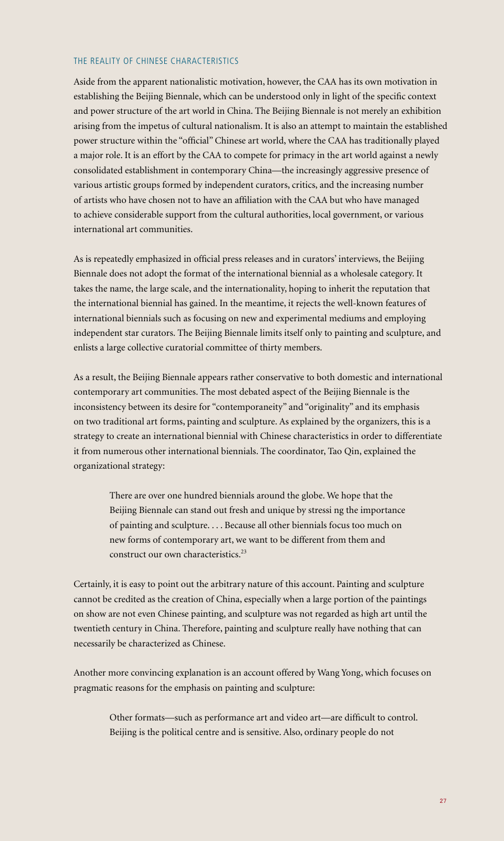## THE REALITY OF CHINESE CHARACTERISTICS

Aside from the apparent nationalistic motivation, however, the CAA has its own motivation in establishing the Beijing Biennale, which can be understood only in light of the specific context and power structure of the art world in China. The Beijing Biennale is not merely an exhibition arising from the impetus of cultural nationalism. It is also an attempt to maintain the established power structure within the "official" Chinese art world, where the CAA has traditionally played a major role. It is an effort by the CAA to compete for primacy in the art world against a newly consolidated establishment in contemporary China—the increasingly aggressive presence of various artistic groups formed by independent curators, critics, and the increasing number of artists who have chosen not to have an affiliation with the CAA but who have managed to achieve considerable support from the cultural authorities, local government, or various international art communities.

As is repeatedly emphasized in official press releases and in curators' interviews, the Beijing Biennale does not adopt the format of the international biennial as a wholesale category. It takes the name, the large scale, and the internationality, hoping to inherit the reputation that the international biennial has gained. In the meantime, it rejects the well-known features of international biennials such as focusing on new and experimental mediums and employing independent star curators. The Beijing Biennale limits itself only to painting and sculpture, and enlists a large collective curatorial committee of thirty members.

As a result, the Beijing Biennale appears rather conservative to both domestic and international contemporary art communities. The most debated aspect of the Beijing Biennale is the inconsistency between its desire for "contemporaneity" and "originality" and its emphasis on two traditional art forms, painting and sculpture. As explained by the organizers, this is a strategy to create an international biennial with Chinese characteristics in order to differentiate it from numerous other international biennials. The coordinator, Tao Qin, explained the organizational strategy:

There are over one hundred biennials around the globe. We hope that the Beijing Biennale can stand out fresh and unique by stressi ng the importance of painting and sculpture. . . . Because all other biennials focus too much on new forms of contemporary art, we want to be different from them and construct our own characteristics.<sup>23</sup>

Certainly, it is easy to point out the arbitrary nature of this account. Painting and sculpture cannot be credited as the creation of China, especially when a large portion of the paintings on show are not even Chinese painting, and sculpture was not regarded as high art until the twentieth century in China. Therefore, painting and sculpture really have nothing that can necessarily be characterized as Chinese.

Another more convincing explanation is an account offered by Wang Yong, which focuses on pragmatic reasons for the emphasis on painting and sculpture:

Other formats—such as performance art and video art—are difficult to control. Beijing is the political centre and is sensitive. Also, ordinary people do not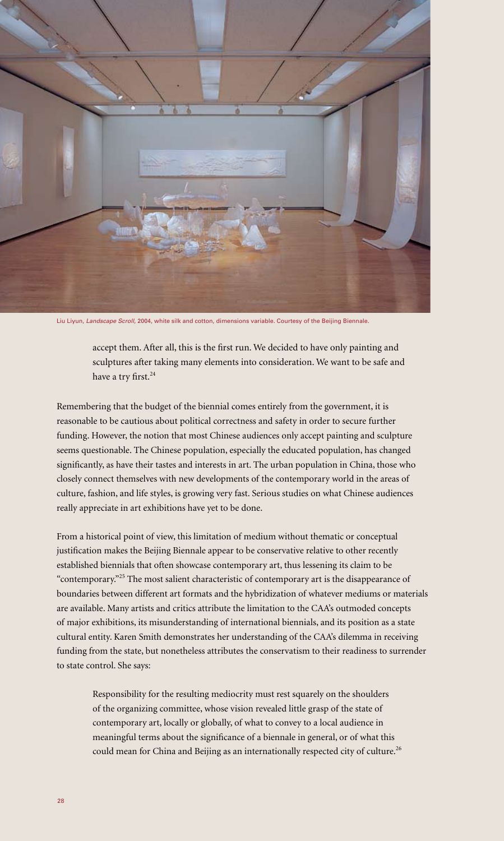

Liu Liyun, *Landscape Scroll*, 2004, white silk and cotton, dimensions variable. Courtesy of the Beijing Biennale.

accept them. After all, this is the first run. We decided to have only painting and sculptures after taking many elements into consideration. We want to be safe and have a try first.<sup>24</sup>

Remembering that the budget of the biennial comes entirely from the government, it is reasonable to be cautious about political correctness and safety in order to secure further funding. However, the notion that most Chinese audiences only accept painting and sculpture seems questionable. The Chinese population, especially the educated population, has changed significantly, as have their tastes and interests in art. The urban population in China, those who closely connect themselves with new developments of the contemporary world in the areas of culture, fashion, and life styles, is growing very fast. Serious studies on what Chinese audiences really appreciate in art exhibitions have yet to be done.

From a historical point of view, this limitation of medium without thematic or conceptual justification makes the Beijing Biennale appear to be conservative relative to other recently established biennials that often showcase contemporary art, thus lessening its claim to be "contemporary."25 The most salient characteristic of contemporary art is the disappearance of boundaries between different art formats and the hybridization of whatever mediums or materials are available. Many artists and critics attribute the limitation to the CAA's outmoded concepts of major exhibitions, its misunderstanding of international biennials, and its position as a state cultural entity. Karen Smith demonstrates her understanding of the CAA's dilemma in receiving funding from the state, but nonetheless attributes the conservatism to their readiness to surrender to state control. She says:

Responsibility for the resulting mediocrity must rest squarely on the shoulders of the organizing committee, whose vision revealed little grasp of the state of contemporary art, locally or globally, of what to convey to a local audience in meaningful terms about the significance of a biennale in general, or of what this could mean for China and Beijing as an internationally respected city of culture.<sup>26</sup>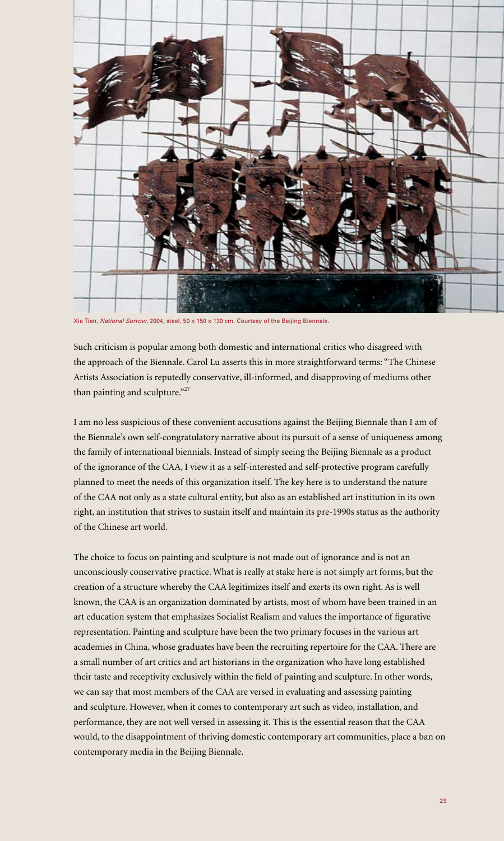

Xia Tian, *National Sorrow*, 2004, steel, 50 x 150 x 130 cm. Courtesy of the Beijing Biennale.

Such criticism is popular among both domestic and international critics who disagreed with the approach of the Biennale. Carol Lu asserts this in more straightforward terms: "The Chinese Artists Association is reputedly conservative, ill-informed, and disapproving of mediums other than painting and sculpture."<sup>27</sup>

I am no less suspicious of these convenient accusations against the Beijing Biennale than I am of the Biennale's own self-congratulatory narrative about its pursuit of a sense of uniqueness among the family of international biennials. Instead of simply seeing the Beijing Biennale as a product of the ignorance of the CAA, I view it as a self-interested and self-protective program carefully planned to meet the needs of this organization itself. The key here is to understand the nature of the CAA not only as a state cultural entity, but also as an established art institution in its own right, an institution that strives to sustain itself and maintain its pre-1990s status as the authority of the Chinese art world.

The choice to focus on painting and sculpture is not made out of ignorance and is not an unconsciously conservative practice. What is really at stake here is not simply art forms, but the creation of a structure whereby the CAA legitimizes itself and exerts its own right. As is well known, the CAA is an organization dominated by artists, most of whom have been trained in an art education system that emphasizes Socialist Realism and values the importance of figurative representation. Painting and sculpture have been the two primary focuses in the various art academies in China, whose graduates have been the recruiting repertoire for the CAA. There are a small number of art critics and art historians in the organization who have long established their taste and receptivity exclusively within the field of painting and sculpture. In other words, we can say that most members of the CAA are versed in evaluating and assessing painting and sculpture. However, when it comes to contemporary art such as video, installation, and performance, they are not well versed in assessing it. This is the essential reason that the CAA would, to the disappointment of thriving domestic contemporary art communities, place a ban on contemporary media in the Beijing Biennale.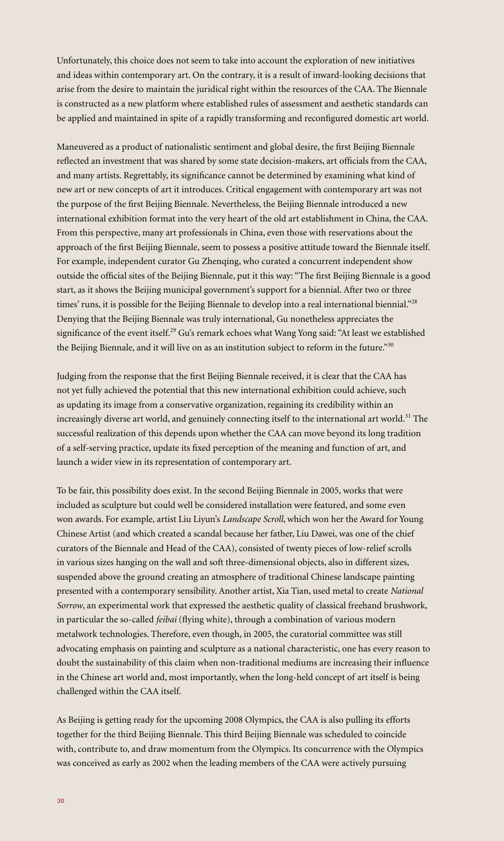Unfortunately, this choice does not seem to take into account the exploration of new initiatives and ideas within contemporary art. On the contrary, it is a result of inward-looking decisions that arise from the desire to maintain the juridical right within the resources of the CAA. The Biennale is constructed as a new platform where established rules of assessment and aesthetic standards can be applied and maintained in spite of a rapidly transforming and reconfigured domestic art world.

Maneuvered as a product of nationalistic sentiment and global desire, the first Beijing Biennale reflected an investment that was shared by some state decision-makers, art officials from the CAA, and many artists. Regrettably, its significance cannot be determined by examining what kind of new art or new concepts of art it introduces. Critical engagement with contemporary art was not the purpose of the first Beijing Biennale. Nevertheless, the Beijing Biennale introduced a new international exhibition format into the very heart of the old art establishment in China, the CAA. From this perspective, many art professionals in China, even those with reservations about the approach of the first Beijing Biennale, seem to possess a positive attitude toward the Biennale itself. For example, independent curator Gu Zhenqing, who curated a concurrent independent show outside the official sites of the Beijing Biennale, put it this way: "The first Beijing Biennale is a good start, as it shows the Beijing municipal government's support for a biennial. After two or three times' runs, it is possible for the Beijing Biennale to develop into a real international biennial."<sup>28</sup> Denying that the Beijing Biennale was truly international, Gu nonetheless appreciates the significance of the event itself.<sup>29</sup> Gu's remark echoes what Wang Yong said: "At least we established the Beijing Biennale, and it will live on as an institution subject to reform in the future."  $30^{\circ}$ 

Judging from the response that the first Beijing Biennale received, it is clear that the CAA has not yet fully achieved the potential that this new international exhibition could achieve, such as updating its image from a conservative organization, regaining its credibility within an increasingly diverse art world, and genuinely connecting itself to the international art world.<sup>31</sup> The successful realization of this depends upon whether the CAA can move beyond its long tradition of a self-serving practice, update its fixed perception of the meaning and function of art, and launch a wider view in its representation of contemporary art.

To be fair, this possibility does exist. In the second Beijing Biennale in 2005, works that were included as sculpture but could well be considered installation were featured, and some even won awards. For example, artist Liu Liyun's *Landscape Scroll*, which won her the Award for Young Chinese Artist (and which created a scandal because her father, Liu Dawei, was one of the chief curators of the Biennale and Head of the CAA), consisted of twenty pieces of low-relief scrolls in various sizes hanging on the wall and soft three-dimensional objects, also in different sizes, suspended above the ground creating an atmosphere of traditional Chinese landscape painting presented with a contemporary sensibility. Another artist, Xia Tian, used metal to create *National Sorrow*, an experimental work that expressed the aesthetic quality of classical freehand brushwork, in particular the so-called *feibai* (flying white), through a combination of various modern metalwork technologies. Therefore, even though, in 2005, the curatorial committee was still advocating emphasis on painting and sculpture as a national characteristic, one has every reason to doubt the sustainability of this claim when non-traditional mediums are increasing their influence in the Chinese art world and, most importantly, when the long-held concept of art itself is being challenged within the CAA itself.

As Beijing is getting ready for the upcoming 2008 Olympics, the CAA is also pulling its efforts together for the third Beijing Biennale. This third Beijing Biennale was scheduled to coincide with, contribute to, and draw momentum from the Olympics. Its concurrence with the Olympics was conceived as early as 2002 when the leading members of the CAA were actively pursuing